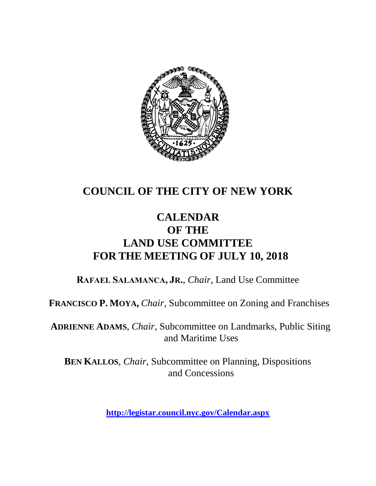

# **COUNCIL OF THE CITY OF NEW YORK**

## **CALENDAR OF THE LAND USE COMMITTEE FOR THE MEETING OF JULY 10, 2018**

**RAFAEL SALAMANCA, JR.**, *Chair*, Land Use Committee

**FRANCISCO P. MOYA,** *Chair,* Subcommittee on Zoning and Franchises

**ADRIENNE ADAMS**, *Chair*, Subcommittee on Landmarks, Public Siting and Maritime Uses

**BEN KALLOS**, *Chair,* Subcommittee on Planning, Dispositions and Concessions

**<http://legistar.council.nyc.gov/Calendar.aspx>**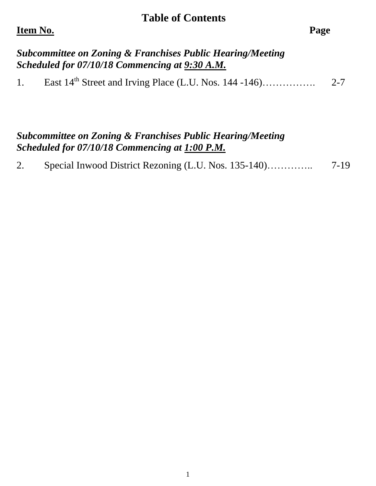#### **Table of Contents**

#### **Item No. Page**

#### *Subcommittee on Zoning & Franchises Public Hearing/Meeting Scheduled for 07/10/18 Commencing at 9:30 A.M.*

1. East  $14<sup>th</sup>$  Street and Irving Place (L.U. Nos.  $144 - 146$ )………….. 2-7

#### *Subcommittee on Zoning & Franchises Public Hearing/Meeting Scheduled for 07/10/18 Commencing at 1:00 P.M.*

|  | $7-19$ |
|--|--------|
|  |        |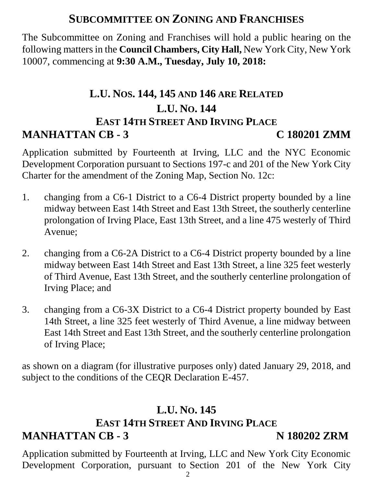## **SUBCOMMITTEE ON ZONING AND FRANCHISES**

The Subcommittee on Zoning and Franchises will hold a public hearing on the following matters in the **Council Chambers, City Hall,** New York City, New York 10007, commencing at **9:30 A.M., Tuesday, July 10, 2018:**

# **L.U. NOS. 144, 145 AND 146 ARE RELATED L.U. NO. 144 EAST 14TH STREET AND IRVING PLACE MANHATTAN CB - 3 C 180201 ZMM**

Application submitted by Fourteenth at Irving, LLC and the NYC Economic Development Corporation pursuant to Sections 197-c and 201 of the New York City Charter for the amendment of the Zoning Map, Section No. 12c:

- 1. changing from a C6-1 District to a C6-4 District property bounded by a line midway between East 14th Street and East 13th Street, the southerly centerline prolongation of Irving Place, East 13th Street, and a line 475 westerly of Third Avenue;
- 2. changing from a C6-2A District to a C6-4 District property bounded by a line midway between East 14th Street and East 13th Street, a line 325 feet westerly of Third Avenue, East 13th Street, and the southerly centerline prolongation of Irving Place; and
- 3. changing from a C6-3X District to a C6-4 District property bounded by East 14th Street, a line 325 feet westerly of Third Avenue, a line midway between East 14th Street and East 13th Street, and the southerly centerline prolongation of Irving Place;

as shown on a diagram (for illustrative purposes only) dated January 29, 2018, and subject to the conditions of the CEQR Declaration E-457.

## **L.U. NO. 145**

#### **EAST 14TH STREET AND IRVING PLACE**

#### **MANHATTAN CB - 3** N 180202 ZRM

Application submitted by Fourteenth at Irving, LLC and New York City Economic Development Corporation, pursuant to Section 201 of the New York City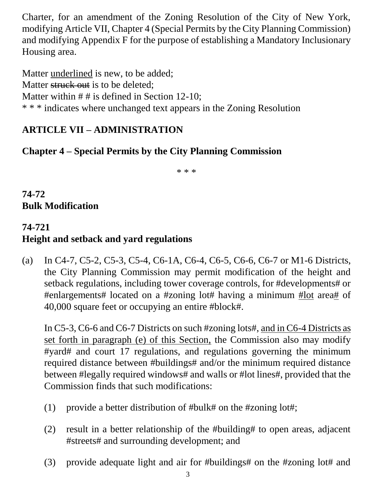Charter, for an amendment of the Zoning Resolution of the City of New York, modifying Article VII, Chapter 4 (Special Permits by the City Planning Commission) and modifying Appendix F for the purpose of establishing a Mandatory Inclusionary Housing area.

Matter underlined is new, to be added; Matter struck out is to be deleted: Matter within  $# #$  is defined in Section 12-10; \* \* \* indicates where unchanged text appears in the Zoning Resolution

#### **ARTICLE VII – ADMINISTRATION**

#### **Chapter 4 – Special Permits by the City Planning Commission**

\* \* \*

**74-72 Bulk Modification** 

#### **74-721 Height and setback and yard regulations**

(a) In C4-7, C5-2, C5-3, C5-4, C6-1A, C6-4, C6-5, C6-6, C6-7 or M1-6 Districts, the City Planning Commission may permit modification of the height and setback regulations, including tower coverage controls, for #developments# or #enlargements# located on a #zoning lot# having a minimum #lot area# of 40,000 square feet or occupying an entire #block#.

In C5-3, C6-6 and C6-7 Districts on such #zoning lots#, and in C6-4 Districts as set forth in paragraph (e) of this Section, the Commission also may modify #yard# and court 17 regulations, and regulations governing the minimum required distance between #buildings# and/or the minimum required distance between #legally required windows# and walls or #lot lines#, provided that the Commission finds that such modifications:

- (1) provide a better distribution of #bulk# on the #zoning lot#;
- (2) result in a better relationship of the #building# to open areas, adjacent #streets# and surrounding development; and
- (3) provide adequate light and air for #buildings# on the #zoning lot# and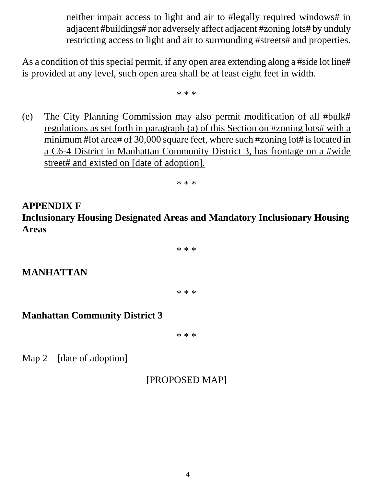neither impair access to light and air to #legally required windows# in adjacent #buildings# nor adversely affect adjacent #zoning lots# by unduly restricting access to light and air to surrounding #streets# and properties.

As a condition of this special permit, if any open area extending along a #side lot line# is provided at any level, such open area shall be at least eight feet in width.

\* \* \*

(e) The City Planning Commission may also permit modification of all #bulk# regulations as set forth in paragraph (a) of this Section on #zoning lots# with a minimum #lot area# of 30,000 square feet, where such #zoning lot# is located in a C6-4 District in Manhattan Community District 3, has frontage on a #wide street# and existed on [date of adoption].

\* \* \*

## **APPENDIX F Inclusionary Housing Designated Areas and Mandatory Inclusionary Housing Areas**

\* \* \*

## **MANHATTAN**

\* \* \*

## **Manhattan Community District 3**

\* \* \*

Map 2 – [date of adoption]

[PROPOSED MAP]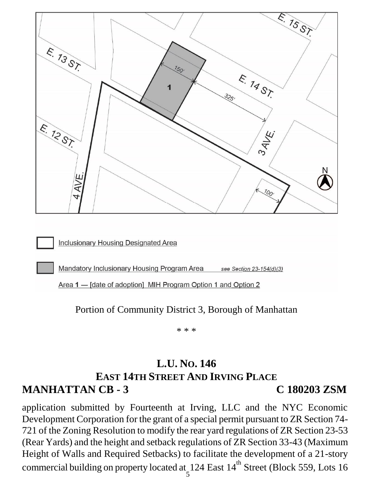

Portion of Community District 3, Borough of Manhattan

\* \* \*

# **L.U. NO. 146 EAST 14TH STREET AND IRVING PLACE MANHATTAN CB - 3 C 180203 ZSM**

application submitted by Fourteenth at Irving, LLC and the NYC Economic Development Corporation for the grant of a special permit pursuant to ZR Section 74- 721 of the Zoning Resolution to modify the rear yard regulations of ZR Section 23-53 (Rear Yards) and the height and setback regulations of ZR Section 33-43 (Maximum Height of Walls and Required Setbacks) to facilitate the development of a 21-story commercial building on property located at 124 East  $14^{\text{th}}$  Street (Block 559, Lots 16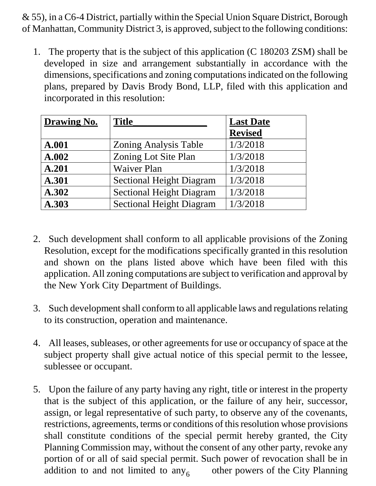& 55), in a C6-4 District, partially within the Special Union Square District, Borough of Manhattan, Community District 3, is approved, subject to the following conditions:

1. The property that is the subject of this application (C 180203 ZSM) shall be developed in size and arrangement substantially in accordance with the dimensions, specifications and zoning computations indicated on the following plans, prepared by Davis Brody Bond, LLP, filed with this application and incorporated in this resolution:

| <b>Drawing No.</b> | <b>Title</b>                    | <b>Last Date</b> |
|--------------------|---------------------------------|------------------|
|                    |                                 | <b>Revised</b>   |
| A.001              | <b>Zoning Analysis Table</b>    | 1/3/2018         |
| A.002              | Zoning Lot Site Plan            | 1/3/2018         |
| A.201              | <b>Waiver Plan</b>              | 1/3/2018         |
| A.301              | <b>Sectional Height Diagram</b> | 1/3/2018         |
| A.302              | <b>Sectional Height Diagram</b> | 1/3/2018         |
| A.303              | <b>Sectional Height Diagram</b> | 1/3/2018         |

- 2. Such development shall conform to all applicable provisions of the Zoning Resolution, except for the modifications specifically granted in this resolution and shown on the plans listed above which have been filed with this application. All zoning computations are subject to verification and approval by the New York City Department of Buildings.
- 3. Such development shall conform to all applicable laws and regulations relating to its construction, operation and maintenance.
- 4. All leases, subleases, or other agreements for use or occupancy of space at the subject property shall give actual notice of this special permit to the lessee, sublessee or occupant.
- addition to and not limited to  $\text{any}_6$  other powers of the City Planning 5. Upon the failure of any party having any right, title or interest in the property that is the subject of this application, or the failure of any heir, successor, assign, or legal representative of such party, to observe any of the covenants, restrictions, agreements, terms or conditions of this resolution whose provisions shall constitute conditions of the special permit hereby granted, the City Planning Commission may, without the consent of any other party, revoke any portion of or all of said special permit. Such power of revocation shall be in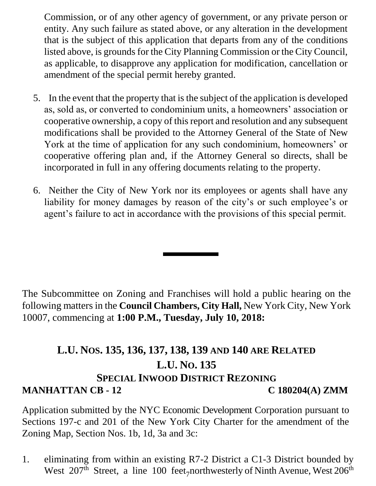Commission, or of any other agency of government, or any private person or entity. Any such failure as stated above, or any alteration in the development that is the subject of this application that departs from any of the conditions listed above, is grounds for the City Planning Commission or the City Council, as applicable, to disapprove any application for modification, cancellation or amendment of the special permit hereby granted.

- 5. In the event that the property that is the subject of the application is developed as, sold as, or converted to condominium units, a homeowners' association or cooperative ownership, a copy of this report and resolution and any subsequent modifications shall be provided to the Attorney General of the State of New York at the time of application for any such condominium, homeowners' or cooperative offering plan and, if the Attorney General so directs, shall be incorporated in full in any offering documents relating to the property.
- 6. Neither the City of New York nor its employees or agents shall have any liability for money damages by reason of the city's or such employee's or agent's failure to act in accordance with the provisions of this special permit.

The Subcommittee on Zoning and Franchises will hold a public hearing on the following matters in the **Council Chambers, City Hall,** New York City, New York 10007, commencing at **1:00 P.M., Tuesday, July 10, 2018:**

# **L.U. NOS. 135, 136, 137, 138, 139 AND 140 ARE RELATED L.U. NO. 135 SPECIAL INWOOD DISTRICT REZONING MANHATTAN CB - 12** C 180204(A) ZMM

Application submitted by the NYC Economic Development Corporation pursuant to Sections 197-c and 201 of the New York City Charter for the amendment of the Zoning Map, Section Nos. 1b, 1d, 3a and 3c:

West  $207<sup>th</sup>$  Street, a line 100 feet<sub>7</sub>northwesterly of Ninth Avenue, West  $206<sup>th</sup>$ 1. eliminating from within an existing R7-2 District a C1-3 District bounded by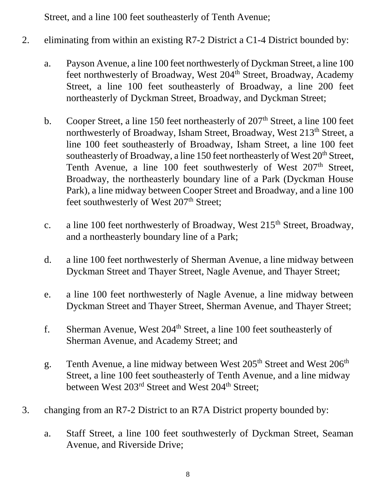Street, and a line 100 feet southeasterly of Tenth Avenue;

- 2. eliminating from within an existing R7-2 District a C1-4 District bounded by:
	- a. Payson Avenue, a line 100 feet northwesterly of Dyckman Street, a line 100 feet northwesterly of Broadway, West 204<sup>th</sup> Street, Broadway, Academy Street, a line 100 feet southeasterly of Broadway, a line 200 feet northeasterly of Dyckman Street, Broadway, and Dyckman Street;
	- b. Cooper Street, a line 150 feet northeasterly of  $207<sup>th</sup>$  Street, a line 100 feet northwesterly of Broadway, Isham Street, Broadway, West 213<sup>th</sup> Street, a line 100 feet southeasterly of Broadway, Isham Street, a line 100 feet southeasterly of Broadway, a line 150 feet northeasterly of West 20<sup>th</sup> Street, Tenth Avenue, a line 100 feet southwesterly of West 207<sup>th</sup> Street, Broadway, the northeasterly boundary line of a Park (Dyckman House Park), a line midway between Cooper Street and Broadway, and a line 100 feet southwesterly of West 207<sup>th</sup> Street;
	- c. a line 100 feet northwesterly of Broadway, West  $215<sup>th</sup>$  Street, Broadway, and a northeasterly boundary line of a Park;
	- d. a line 100 feet northwesterly of Sherman Avenue, a line midway between Dyckman Street and Thayer Street, Nagle Avenue, and Thayer Street;
	- e. a line 100 feet northwesterly of Nagle Avenue, a line midway between Dyckman Street and Thayer Street, Sherman Avenue, and Thayer Street;
	- f. Sherman Avenue, West 204<sup>th</sup> Street, a line 100 feet southeasterly of Sherman Avenue, and Academy Street; and
	- g. Tenth Avenue, a line midway between West 205<sup>th</sup> Street and West 206<sup>th</sup> Street, a line 100 feet southeasterly of Tenth Avenue, and a line midway between West 203<sup>rd</sup> Street and West 204<sup>th</sup> Street;
- 3. changing from an R7-2 District to an R7A District property bounded by:
	- a. Staff Street, a line 100 feet southwesterly of Dyckman Street, Seaman Avenue, and Riverside Drive;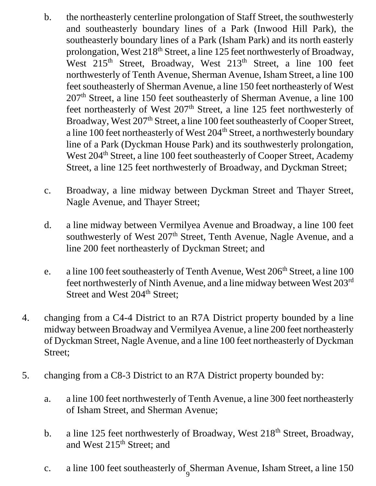- b. the northeasterly centerline prolongation of Staff Street, the southwesterly and southeasterly boundary lines of a Park (Inwood Hill Park), the southeasterly boundary lines of a Park (Isham Park) and its north easterly prolongation, West 218<sup>th</sup> Street, a line 125 feet northwesterly of Broadway, West 215<sup>th</sup> Street, Broadway, West 213<sup>th</sup> Street, a line 100 feet northwesterly of Tenth Avenue, Sherman Avenue, Isham Street, a line 100 feet southeasterly of Sherman Avenue, a line 150 feet northeasterly of West 207th Street, a line 150 feet southeasterly of Sherman Avenue, a line 100 feet northeasterly of West  $207<sup>th</sup>$  Street, a line 125 feet northwesterly of Broadway, West 207<sup>th</sup> Street, a line 100 feet southeasterly of Cooper Street, a line 100 feet northeasterly of West 204<sup>th</sup> Street, a northwesterly boundary line of a Park (Dyckman House Park) and its southwesterly prolongation, West 204<sup>th</sup> Street, a line 100 feet southeasterly of Cooper Street, Academy Street, a line 125 feet northwesterly of Broadway, and Dyckman Street;
- c. Broadway, a line midway between Dyckman Street and Thayer Street, Nagle Avenue, and Thayer Street;
- d. a line midway between Vermilyea Avenue and Broadway, a line 100 feet southwesterly of West 207<sup>th</sup> Street, Tenth Avenue, Nagle Avenue, and a line 200 feet northeasterly of Dyckman Street; and
- e. a line 100 feet southeasterly of Tenth Avenue, West 206<sup>th</sup> Street, a line 100 feet northwesterly of Ninth Avenue, and a line midway between West 203rd Street and West 204<sup>th</sup> Street;
- 4. changing from a C4-4 District to an R7A District property bounded by a line midway between Broadway and Vermilyea Avenue, a line 200 feet northeasterly of Dyckman Street, Nagle Avenue, and a line 100 feet northeasterly of Dyckman Street;
- 5. changing from a C8-3 District to an R7A District property bounded by:
	- a. a line 100 feet northwesterly of Tenth Avenue, a line 300 feet northeasterly of Isham Street, and Sherman Avenue;
	- b. a line 125 feet northwesterly of Broadway, West 218<sup>th</sup> Street, Broadway, and West 215<sup>th</sup> Street; and
	- 9 c. a line 100 feet southeasterly of Sherman Avenue, Isham Street, a line 150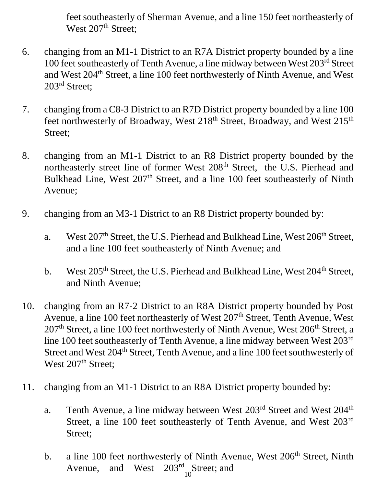feet southeasterly of Sherman Avenue, and a line 150 feet northeasterly of West 207<sup>th</sup> Street;

- 6. changing from an M1-1 District to an R7A District property bounded by a line 100 feet southeasterly of Tenth Avenue, a line midway between West 203rd Street and West 204<sup>th</sup> Street, a line 100 feet northwesterly of Ninth Avenue, and West 203<sup>rd</sup> Street;
- 7. changing from a C8-3 District to an R7D District property bounded by a line 100 feet northwesterly of Broadway, West 218<sup>th</sup> Street, Broadway, and West 215<sup>th</sup> Street;
- 8. changing from an M1-1 District to an R8 District property bounded by the northeasterly street line of former West 208<sup>th</sup> Street, the U.S. Pierhead and Bulkhead Line, West 207<sup>th</sup> Street, and a line 100 feet southeasterly of Ninth Avenue;
- 9. changing from an M3-1 District to an R8 District property bounded by:
	- a. West 207<sup>th</sup> Street, the U.S. Pierhead and Bulkhead Line, West 206<sup>th</sup> Street, and a line 100 feet southeasterly of Ninth Avenue; and
	- b. West  $205<sup>th</sup>$  Street, the U.S. Pierhead and Bulkhead Line, West  $204<sup>th</sup>$  Street, and Ninth Avenue;
- 10. changing from an R7-2 District to an R8A District property bounded by Post Avenue, a line 100 feet northeasterly of West 207<sup>th</sup> Street, Tenth Avenue, West  $207<sup>th</sup>$  Street, a line 100 feet northwesterly of Ninth Avenue, West  $206<sup>th</sup>$  Street, a line 100 feet southeasterly of Tenth Avenue, a line midway between West 203rd Street and West 204<sup>th</sup> Street, Tenth Avenue, and a line 100 feet southwesterly of West 207<sup>th</sup> Street;
- 11. changing from an M1-1 District to an R8A District property bounded by:
	- a. Tenth Avenue, a line midway between West 203<sup>rd</sup> Street and West 204<sup>th</sup> Street, a line 100 feet southeasterly of Tenth Avenue, and West 203rd Street;
	- b. a line 100 feet northwesterly of Ninth Avenue, West 206<sup>th</sup> Street, Ninth Avenue, and West  $203<sup>rd</sup>$  Street; and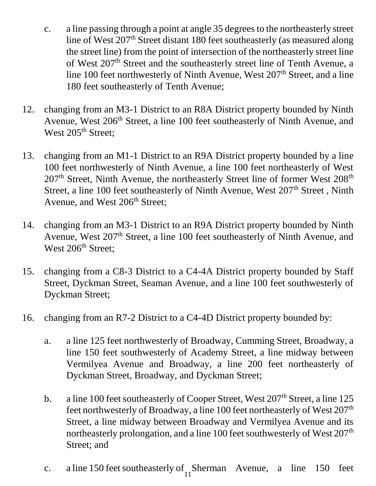- c. a line passing through a point at angle 35 degrees to the northeasterly street line of West 207<sup>th</sup> Street distant 180 feet southeasterly (as measured along the street line) from the point of intersection of the northeasterly street line of West 207<sup>th</sup> Street and the southeasterly street line of Tenth Avenue, a line 100 feet northwesterly of Ninth Avenue, West 207<sup>th</sup> Street, and a line 180 feet southeasterly of Tenth Avenue;
- 12. changing from an M3-1 District to an R8A District property bounded by Ninth Avenue, West 206<sup>th</sup> Street, a line 100 feet southeasterly of Ninth Avenue, and West 205<sup>th</sup> Street;
- 13. changing from an M1-1 District to an R9A District property bounded by a line 100 feet northwesterly of Ninth Avenue, a line 100 feet northeasterly of West 207<sup>th</sup> Street, Ninth Avenue, the northeasterly Street line of former West 208<sup>th</sup> Street, a line 100 feet southeasterly of Ninth Avenue, West  $207<sup>th</sup>$  Street, Ninth Avenue, and West 206<sup>th</sup> Street;
- 14. changing from an M3-1 District to an R9A District property bounded by Ninth Avenue, West 207<sup>th</sup> Street, a line 100 feet southeasterly of Ninth Avenue, and West 206<sup>th</sup> Street;
- 15. changing from a C8-3 District to a C4-4A District property bounded by Staff Street, Dyckman Street, Seaman Avenue, and a line 100 feet southwesterly of Dyckman Street;
- 16. changing from an R7-2 District to a C4-4D District property bounded by:
	- a. a line 125 feet northwesterly of Broadway, Cumming Street, Broadway, a line 150 feet southwesterly of Academy Street, a line midway between Vermilyea Avenue and Broadway, a line 200 feet northeasterly of Dyckman Street, Broadway, and Dyckman Street;
	- b. a line 100 feet southeasterly of Cooper Street, West  $207<sup>th</sup>$  Street, a line 125 feet northwesterly of Broadway, a line 100 feet northeasterly of West 207<sup>th</sup> Street, a line midway between Broadway and Vermilyea Avenue and its northeasterly prolongation, and a line 100 feet southwesterly of West 207<sup>th</sup> Street; and
	- 11 c. a line 150 feet southeasterly of Sherman Avenue, a line 150 feet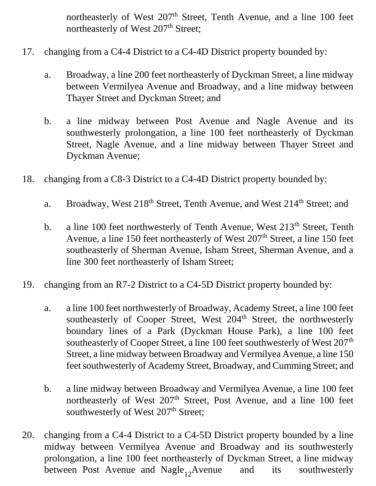northeasterly of West 207<sup>th</sup> Street, Tenth Avenue, and a line 100 feet northeasterly of West 207<sup>th</sup> Street;

- 17. changing from a C4-4 District to a C4-4D District property bounded by:
	- a. Broadway, a line 200 feet northeasterly of Dyckman Street, a line midway between Vermilyea Avenue and Broadway, and a line midway between Thayer Street and Dyckman Street; and
	- b. a line midway between Post Avenue and Nagle Avenue and its southwesterly prolongation, a line 100 feet northeasterly of Dyckman Street, Nagle Avenue, and a line midway between Thayer Street and Dyckman Avenue;
- 18. changing from a C8-3 District to a C4-4D District property bounded by:
	- a. Broadway, West 218<sup>th</sup> Street, Tenth Avenue, and West 214<sup>th</sup> Street; and
	- b. a line 100 feet northwesterly of Tenth Avenue, West 213<sup>th</sup> Street, Tenth Avenue, a line 150 feet northeasterly of West  $207<sup>th</sup>$  Street, a line 150 feet southeasterly of Sherman Avenue, Isham Street, Sherman Avenue, and a line 300 feet northeasterly of Isham Street;
- 19. changing from an R7-2 District to a C4-5D District property bounded by:
	- a. a line 100 feet northwesterly of Broadway, Academy Street, a line 100 feet southeasterly of Cooper Street, West 204<sup>th</sup> Street, the northwesterly boundary lines of a Park (Dyckman House Park), a line 100 feet southeasterly of Cooper Street, a line 100 feet southwesterly of West 207<sup>th</sup> Street, a line midway between Broadway and Vermilyea Avenue, a line 150 feet southwesterly of Academy Street, Broadway, and Cumming Street; and
	- b. a line midway between Broadway and Vermilyea Avenue, a line 100 feet northeasterly of West 207<sup>th</sup> Street, Post Avenue, and a line 100 feet southwesterly of West 207<sup>th</sup> Street;
- between Post Avenue and Nagle<sub>12</sub>Avenue and its southwesterly 20. changing from a C4-4 District to a C4-5D District property bounded by a line midway between Vermilyea Avenue and Broadway and its southwesterly prolongation, a line 100 feet northeasterly of Dyckman Street, a line midway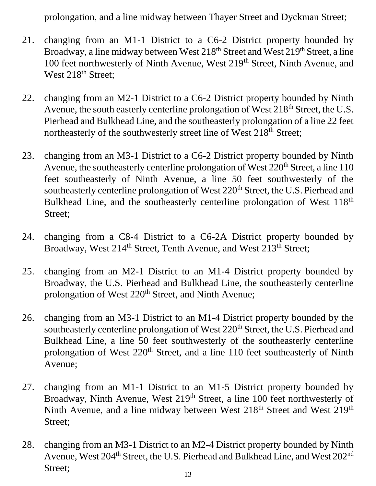prolongation, and a line midway between Thayer Street and Dyckman Street;

- 21. changing from an M1-1 District to a C6-2 District property bounded by Broadway, a line midway between West 218<sup>th</sup> Street and West 219<sup>th</sup> Street, a line 100 feet northwesterly of Ninth Avenue, West 219<sup>th</sup> Street, Ninth Avenue, and West 218<sup>th</sup> Street;
- 22. changing from an M2-1 District to a C6-2 District property bounded by Ninth Avenue, the south easterly centerline prolongation of West 218<sup>th</sup> Street, the U.S. Pierhead and Bulkhead Line, and the southeasterly prolongation of a line 22 feet northeasterly of the southwesterly street line of West 218<sup>th</sup> Street;
- 23. changing from an M3-1 District to a C6-2 District property bounded by Ninth Avenue, the southeasterly centerline prolongation of West  $220<sup>th</sup>$  Street, a line 110 feet southeasterly of Ninth Avenue, a line 50 feet southwesterly of the southeasterly centerline prolongation of West 220<sup>th</sup> Street, the U.S. Pierhead and Bulkhead Line, and the southeasterly centerline prolongation of West 118<sup>th</sup> Street;
- 24. changing from a C8-4 District to a C6-2A District property bounded by Broadway, West 214<sup>th</sup> Street, Tenth Avenue, and West 213<sup>th</sup> Street;
- 25. changing from an M2-1 District to an M1-4 District property bounded by Broadway, the U.S. Pierhead and Bulkhead Line, the southeasterly centerline prolongation of West  $220<sup>th</sup>$  Street, and Ninth Avenue;
- 26. changing from an M3-1 District to an M1-4 District property bounded by the southeasterly centerline prolongation of West 220<sup>th</sup> Street, the U.S. Pierhead and Bulkhead Line, a line 50 feet southwesterly of the southeasterly centerline prolongation of West 220<sup>th</sup> Street, and a line 110 feet southeasterly of Ninth Avenue;
- 27. changing from an M1-1 District to an M1-5 District property bounded by Broadway, Ninth Avenue, West 219<sup>th</sup> Street, a line 100 feet northwesterly of Ninth Avenue, and a line midway between West 218<sup>th</sup> Street and West 219<sup>th</sup> Street;
- 28. changing from an M3-1 District to an M2-4 District property bounded by Ninth Avenue, West 204<sup>th</sup> Street, the U.S. Pierhead and Bulkhead Line, and West 202<sup>nd</sup> Street;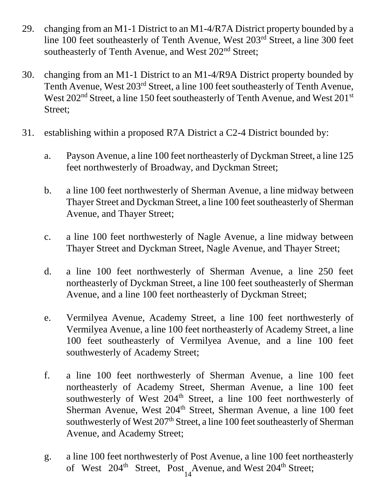- 29. changing from an M1-1 District to an M1-4/R7A District property bounded by a line 100 feet southeasterly of Tenth Avenue, West 203rd Street, a line 300 feet southeasterly of Tenth Avenue, and West 202<sup>nd</sup> Street;
- 30. changing from an M1-1 District to an M1-4/R9A District property bounded by Tenth Avenue, West 203<sup>rd</sup> Street, a line 100 feet southeasterly of Tenth Avenue, West 202<sup>nd</sup> Street, a line 150 feet southeasterly of Tenth Avenue, and West 201<sup>st</sup> Street;
- 31. establishing within a proposed R7A District a C2-4 District bounded by:
	- a. Payson Avenue, a line 100 feet northeasterly of Dyckman Street, a line 125 feet northwesterly of Broadway, and Dyckman Street;
	- b. a line 100 feet northwesterly of Sherman Avenue, a line midway between Thayer Street and Dyckman Street, a line 100 feet southeasterly of Sherman Avenue, and Thayer Street;
	- c. a line 100 feet northwesterly of Nagle Avenue, a line midway between Thayer Street and Dyckman Street, Nagle Avenue, and Thayer Street;
	- d. a line 100 feet northwesterly of Sherman Avenue, a line 250 feet northeasterly of Dyckman Street, a line 100 feet southeasterly of Sherman Avenue, and a line 100 feet northeasterly of Dyckman Street;
	- e. Vermilyea Avenue, Academy Street, a line 100 feet northwesterly of Vermilyea Avenue, a line 100 feet northeasterly of Academy Street, a line 100 feet southeasterly of Vermilyea Avenue, and a line 100 feet southwesterly of Academy Street;
	- f. a line 100 feet northwesterly of Sherman Avenue, a line 100 feet northeasterly of Academy Street, Sherman Avenue, a line 100 feet southwesterly of West 204<sup>th</sup> Street, a line 100 feet northwesterly of Sherman Avenue, West 204<sup>th</sup> Street, Sherman Avenue, a line 100 feet southwesterly of West 207<sup>th</sup> Street, a line 100 feet southeasterly of Sherman Avenue, and Academy Street;
	- g. a line 100 feet northwesterly of Post Avenue, a line 100 feet northeasterly of West 204<sup>th</sup> Street, Post Avenue, and West 204<sup>th</sup> Street;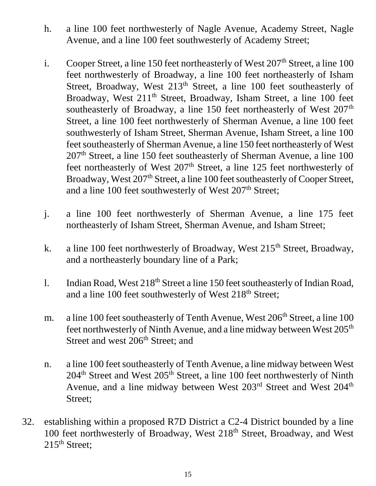- h. a line 100 feet northwesterly of Nagle Avenue, Academy Street, Nagle Avenue, and a line 100 feet southwesterly of Academy Street;
- i. Cooper Street, a line 150 feet northeasterly of West  $207<sup>th</sup>$  Street, a line 100 feet northwesterly of Broadway, a line 100 feet northeasterly of Isham Street, Broadway, West 213<sup>th</sup> Street, a line 100 feet southeasterly of Broadway, West 211<sup>th</sup> Street, Broadway, Isham Street, a line 100 feet southeasterly of Broadway, a line 150 feet northeasterly of West 207<sup>th</sup> Street, a line 100 feet northwesterly of Sherman Avenue, a line 100 feet southwesterly of Isham Street, Sherman Avenue, Isham Street, a line 100 feet southeasterly of Sherman Avenue, a line 150 feet northeasterly of West 207th Street, a line 150 feet southeasterly of Sherman Avenue, a line 100 feet northeasterly of West 207<sup>th</sup> Street, a line 125 feet northwesterly of Broadway, West 207<sup>th</sup> Street, a line 100 feet southeasterly of Cooper Street, and a line 100 feet southwesterly of West 207<sup>th</sup> Street;
- j. a line 100 feet northwesterly of Sherman Avenue, a line 175 feet northeasterly of Isham Street, Sherman Avenue, and Isham Street;
- k. a line 100 feet northwesterly of Broadway, West  $215<sup>th</sup>$  Street, Broadway, and a northeasterly boundary line of a Park;
- l. Indian Road, West  $218<sup>th</sup>$  Street a line 150 feet southeasterly of Indian Road, and a line 100 feet southwesterly of West 218<sup>th</sup> Street;
- m. a line 100 feet southeasterly of Tenth Avenue, West  $206<sup>th</sup>$  Street, a line 100 feet northwesterly of Ninth Avenue, and a line midway between West 205<sup>th</sup> Street and west 206<sup>th</sup> Street; and
- n. a line 100 feet southeasterly of Tenth Avenue, a line midway between West 204<sup>th</sup> Street and West 205<sup>th</sup> Street, a line 100 feet northwesterly of Ninth Avenue, and a line midway between West 203<sup>rd</sup> Street and West 204<sup>th</sup> Street;
- 32. establishing within a proposed R7D District a C2-4 District bounded by a line 100 feet northwesterly of Broadway, West 218<sup>th</sup> Street, Broadway, and West  $215<sup>th</sup>$  Street;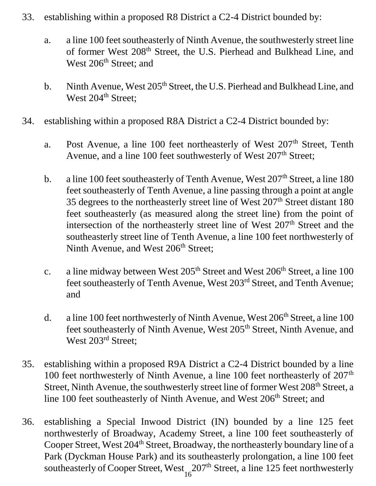- 33. establishing within a proposed R8 District a C2-4 District bounded by:
	- a. a line 100 feet southeasterly of Ninth Avenue, the southwesterly street line of former West 208<sup>th</sup> Street, the U.S. Pierhead and Bulkhead Line, and West 206<sup>th</sup> Street; and
	- b. Ninth Avenue, West 205<sup>th</sup> Street, the U.S. Pierhead and Bulkhead Line, and West 204<sup>th</sup> Street;
- 34. establishing within a proposed R8A District a C2-4 District bounded by:
	- a. Post Avenue, a line 100 feet northeasterly of West 207<sup>th</sup> Street, Tenth Avenue, and a line 100 feet southwesterly of West  $207<sup>th</sup>$  Street;
	- b. a line 100 feet southeasterly of Tenth Avenue, West  $207<sup>th</sup>$  Street, a line 180 feet southeasterly of Tenth Avenue, a line passing through a point at angle 35 degrees to the northeasterly street line of West 207<sup>th</sup> Street distant 180 feet southeasterly (as measured along the street line) from the point of intersection of the northeasterly street line of West 207<sup>th</sup> Street and the southeasterly street line of Tenth Avenue, a line 100 feet northwesterly of Ninth Avenue, and West 206<sup>th</sup> Street;
	- c. a line midway between West  $205<sup>th</sup>$  Street and West  $206<sup>th</sup>$  Street, a line 100 feet southeasterly of Tenth Avenue, West 203rd Street, and Tenth Avenue; and
	- d. a line 100 feet northwesterly of Ninth Avenue, West  $206<sup>th</sup>$  Street, a line 100 feet southeasterly of Ninth Avenue, West 205<sup>th</sup> Street, Ninth Avenue, and West 203<sup>rd</sup> Street;
- 35. establishing within a proposed R9A District a C2-4 District bounded by a line 100 feet northwesterly of Ninth Avenue, a line 100 feet northeasterly of 207<sup>th</sup> Street, Ninth Avenue, the southwesterly street line of former West 208<sup>th</sup> Street, a line 100 feet southeasterly of Ninth Avenue, and West 206<sup>th</sup> Street; and
- 36. establishing a Special Inwood District (IN) bounded by a line 125 feet northwesterly of Broadway, Academy Street, a line 100 feet southeasterly of Cooper Street, West 204<sup>th</sup> Street, Broadway, the northeasterly boundary line of a Park (Dyckman House Park) and its southeasterly prolongation, a line 100 feet southeasterly of Cooper Street, West  $207<sup>th</sup>$  Street, a line 125 feet northwesterly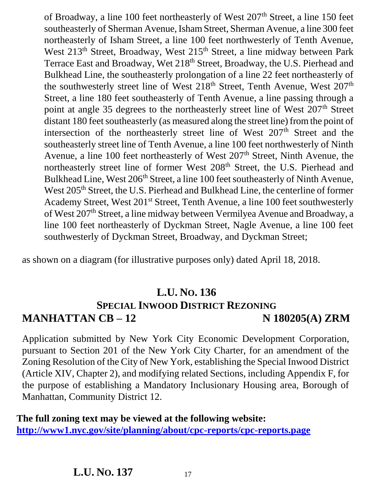of Broadway, a line 100 feet northeasterly of West  $207<sup>th</sup>$  Street, a line 150 feet southeasterly of Sherman Avenue, Isham Street, Sherman Avenue, a line 300 feet northeasterly of Isham Street, a line 100 feet northwesterly of Tenth Avenue, West 213<sup>th</sup> Street, Broadway, West 215<sup>th</sup> Street, a line midway between Park Terrace East and Broadway, Wet 218<sup>th</sup> Street, Broadway, the U.S. Pierhead and Bulkhead Line, the southeasterly prolongation of a line 22 feet northeasterly of the southwesterly street line of West 218<sup>th</sup> Street, Tenth Avenue, West 207<sup>th</sup> Street, a line 180 feet southeasterly of Tenth Avenue, a line passing through a point at angle 35 degrees to the northeasterly street line of West 207<sup>th</sup> Street distant 180 feet southeasterly (as measured along the street line) from the point of intersection of the northeasterly street line of West 207<sup>th</sup> Street and the southeasterly street line of Tenth Avenue, a line 100 feet northwesterly of Ninth Avenue, a line 100 feet northeasterly of West 207<sup>th</sup> Street, Ninth Avenue, the northeasterly street line of former West 208<sup>th</sup> Street, the U.S. Pierhead and Bulkhead Line, West 206<sup>th</sup> Street, a line 100 feet southeasterly of Ninth Avenue, West 205<sup>th</sup> Street, the U.S. Pierhead and Bulkhead Line, the centerline of former Academy Street, West 201st Street, Tenth Avenue, a line 100 feet southwesterly of West 207th Street, a line midway between Vermilyea Avenue and Broadway, a line 100 feet northeasterly of Dyckman Street, Nagle Avenue, a line 100 feet southwesterly of Dyckman Street, Broadway, and Dyckman Street;

as shown on a diagram (for illustrative purposes only) dated April 18, 2018.

## **L.U. NO. 136 SPECIAL INWOOD DISTRICT REZONING MANHATTAN CB – 12 N 180205(A) ZRM**

Application submitted by New York City Economic Development Corporation, pursuant to Section 201 of the New York City Charter, for an amendment of the Zoning Resolution of the City of New York, establishing the Special Inwood District (Article XIV, Chapter 2), and modifying related Sections, including Appendix F, for the purpose of establishing a Mandatory Inclusionary Housing area, Borough of Manhattan, Community District 12.

**The full zoning text may be viewed at the following website: <http://www1.nyc.gov/site/planning/about/cpc-reports/cpc-reports.page>**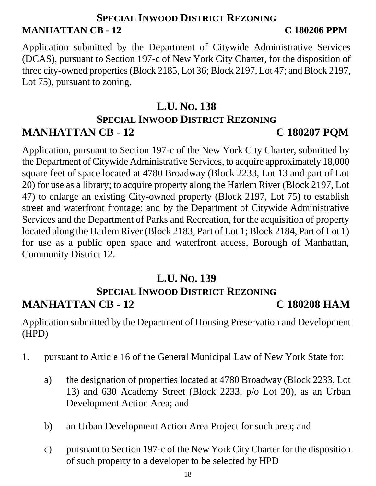## **SPECIAL INWOOD DISTRICT REZONING MANHATTAN CB - 12 C 180206 PPM**

Application submitted by the Department of Citywide Administrative Services (DCAS), pursuant to Section 197-c of New York City Charter, for the disposition of three city-owned properties (Block 2185, Lot 36; Block 2197, Lot 47; and Block 2197, Lot 75), pursuant to zoning.

## **L.U. NO. 138 SPECIAL INWOOD DISTRICT REZONING MANHATTAN CB - 12 C 180207 PQM**

Application, pursuant to Section 197-c of the New York City Charter, submitted by the Department of Citywide Administrative Services, to acquire approximately 18,000 square feet of space located at 4780 Broadway (Block 2233, Lot 13 and part of Lot 20) for use as a library; to acquire property along the Harlem River (Block 2197, Lot 47) to enlarge an existing City-owned property (Block 2197, Lot 75) to establish street and waterfront frontage; and by the Department of Citywide Administrative Services and the Department of Parks and Recreation, for the acquisition of property located along the Harlem River (Block 2183, Part of Lot 1; Block 2184, Part of Lot 1) for use as a public open space and waterfront access, Borough of Manhattan, Community District 12.

#### **L.U. NO. 139 SPECIAL INWOOD DISTRICT REZONING MANHATTAN CB - 12 C 180208 HAM**

Application submitted by the Department of Housing Preservation and Development (HPD)

- 1. pursuant to Article 16 of the General Municipal Law of New York State for:
	- a) the designation of properties located at 4780 Broadway (Block 2233, Lot 13) and 630 Academy Street (Block 2233, p/o Lot 20), as an Urban Development Action Area; and
	- b) an Urban Development Action Area Project for such area; and
	- c) pursuant to Section 197-c of the New York City Charter for the disposition of such property to a developer to be selected by HPD